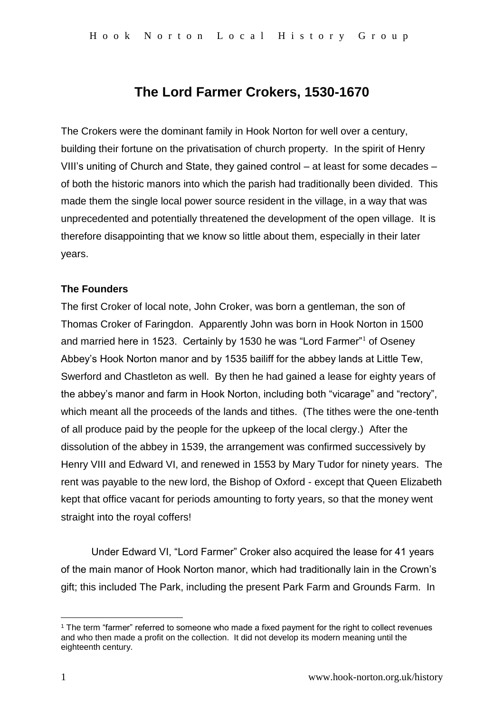# **The Lord Farmer Crokers, 1530-1670**

The Crokers were the dominant family in Hook Norton for well over a century, building their fortune on the privatisation of church property. In the spirit of Henry VIII's uniting of Church and State, they gained control – at least for some decades – of both the historic manors into which the parish had traditionally been divided. This made them the single local power source resident in the village, in a way that was unprecedented and potentially threatened the development of the open village. It is therefore disappointing that we know so little about them, especially in their later years.

# **The Founders**

The first Croker of local note, John Croker, was born a gentleman, the son of Thomas Croker of Faringdon. Apparently John was born in Hook Norton in 1500 and married here in 1523. Certainly by 1530 he was "Lord Farmer"<sup>1</sup> of Oseney Abbey's Hook Norton manor and by 1535 bailiff for the abbey lands at Little Tew, Swerford and Chastleton as well. By then he had gained a lease for eighty years of the abbey's manor and farm in Hook Norton, including both "vicarage" and "rectory", which meant all the proceeds of the lands and tithes. (The tithes were the one-tenth of all produce paid by the people for the upkeep of the local clergy.) After the dissolution of the abbey in 1539, the arrangement was confirmed successively by Henry VIII and Edward VI, and renewed in 1553 by Mary Tudor for ninety years. The rent was payable to the new lord, the Bishop of Oxford - except that Queen Elizabeth kept that office vacant for periods amounting to forty years, so that the money went straight into the royal coffers!

Under Edward VI, "Lord Farmer" Croker also acquired the lease for 41 years of the main manor of Hook Norton manor, which had traditionally lain in the Crown's gift; this included The Park, including the present Park Farm and Grounds Farm. In

<u>.</u>

<sup>1</sup> The term "farmer" referred to someone who made a fixed payment for the right to collect revenues and who then made a profit on the collection. It did not develop its modern meaning until the eighteenth century.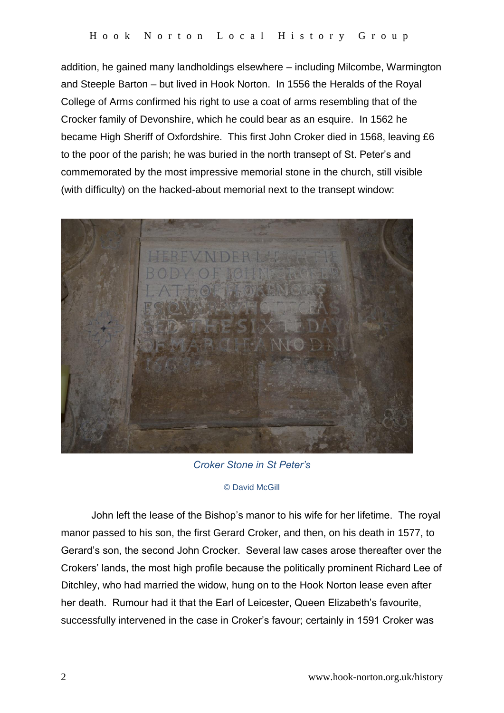addition, he gained many landholdings elsewhere – including Milcombe, Warmington and Steeple Barton – but lived in Hook Norton. In 1556 the Heralds of the Royal College of Arms confirmed his right to use a coat of arms resembling that of the Crocker family of Devonshire, which he could bear as an esquire. In 1562 he became High Sheriff of Oxfordshire. This first John Croker died in 1568, leaving £6 to the poor of the parish; he was buried in the north transept of St. Peter's and commemorated by the most impressive memorial stone in the church, still visible (with difficulty) on the hacked-about memorial next to the transept window:



*Croker Stone in St Peter's*

## © David McGill

John left the lease of the Bishop's manor to his wife for her lifetime. The royal manor passed to his son, the first Gerard Croker, and then, on his death in 1577, to Gerard's son, the second John Crocker. Several law cases arose thereafter over the Crokers' lands, the most high profile because the politically prominent Richard Lee of Ditchley, who had married the widow, hung on to the Hook Norton lease even after her death. Rumour had it that the Earl of Leicester, Queen Elizabeth's favourite, successfully intervened in the case in Croker's favour; certainly in 1591 Croker was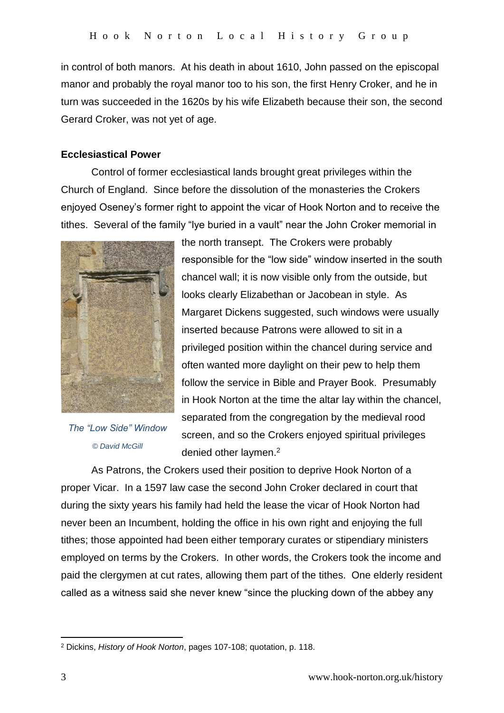in control of both manors. At his death in about 1610, John passed on the episcopal manor and probably the royal manor too to his son, the first Henry Croker, and he in turn was succeeded in the 1620s by his wife Elizabeth because their son, the second Gerard Croker, was not yet of age.

# **Ecclesiastical Power**

Control of former ecclesiastical lands brought great privileges within the Church of England. Since before the dissolution of the monasteries the Crokers enjoyed Oseney's former right to appoint the vicar of Hook Norton and to receive the tithes. Several of the family "lye buried in a vault" near the John Croker memorial in



*The "Low Side" Window © David McGill*

the north transept. The Crokers were probably responsible for the "low side" window inserted in the south chancel wall; it is now visible only from the outside, but looks clearly Elizabethan or Jacobean in style. As Margaret Dickens suggested, such windows were usually inserted because Patrons were allowed to sit in a privileged position within the chancel during service and often wanted more daylight on their pew to help them follow the service in Bible and Prayer Book. Presumably in Hook Norton at the time the altar lay within the chancel, separated from the congregation by the medieval rood screen, and so the Crokers enjoyed spiritual privileges denied other laymen.<sup>2</sup>

As Patrons, the Crokers used their position to deprive Hook Norton of a proper Vicar. In a 1597 law case the second John Croker declared in court that during the sixty years his family had held the lease the vicar of Hook Norton had never been an Incumbent, holding the office in his own right and enjoying the full tithes; those appointed had been either temporary curates or stipendiary ministers employed on terms by the Crokers. In other words, the Crokers took the income and paid the clergymen at cut rates, allowing them part of the tithes. One elderly resident called as a witness said she never knew "since the plucking down of the abbey any

<sup>1</sup> <sup>2</sup> Dickins, *History of Hook Norton*, pages 107-108; quotation, p. 118.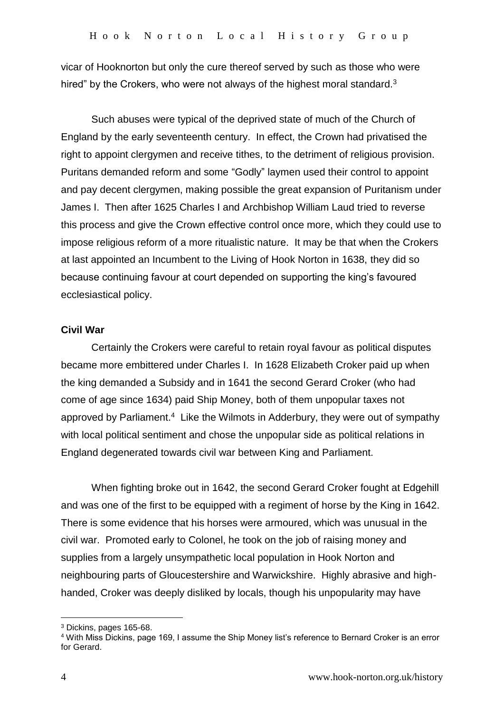vicar of Hooknorton but only the cure thereof served by such as those who were hired" by the Crokers, who were not always of the highest moral standard.<sup>3</sup>

Such abuses were typical of the deprived state of much of the Church of England by the early seventeenth century. In effect, the Crown had privatised the right to appoint clergymen and receive tithes, to the detriment of religious provision. Puritans demanded reform and some "Godly" laymen used their control to appoint and pay decent clergymen, making possible the great expansion of Puritanism under James I. Then after 1625 Charles I and Archbishop William Laud tried to reverse this process and give the Crown effective control once more, which they could use to impose religious reform of a more ritualistic nature. It may be that when the Crokers at last appointed an Incumbent to the Living of Hook Norton in 1638, they did so because continuing favour at court depended on supporting the king's favoured ecclesiastical policy.

## **Civil War**

Certainly the Crokers were careful to retain royal favour as political disputes became more embittered under Charles I. In 1628 Elizabeth Croker paid up when the king demanded a Subsidy and in 1641 the second Gerard Croker (who had come of age since 1634) paid Ship Money, both of them unpopular taxes not approved by Parliament.<sup>4</sup> Like the Wilmots in Adderbury, they were out of sympathy with local political sentiment and chose the unpopular side as political relations in England degenerated towards civil war between King and Parliament.

When fighting broke out in 1642, the second Gerard Croker fought at Edgehill and was one of the first to be equipped with a regiment of horse by the King in 1642. There is some evidence that his horses were armoured, which was unusual in the civil war. Promoted early to Colonel, he took on the job of raising money and supplies from a largely unsympathetic local population in Hook Norton and neighbouring parts of Gloucestershire and Warwickshire. Highly abrasive and highhanded, Croker was deeply disliked by locals, though his unpopularity may have

<u>.</u>

<sup>3</sup> Dickins, pages 165-68.

<sup>4</sup> With Miss Dickins, page 169, I assume the Ship Money list's reference to Bernard Croker is an error for Gerard.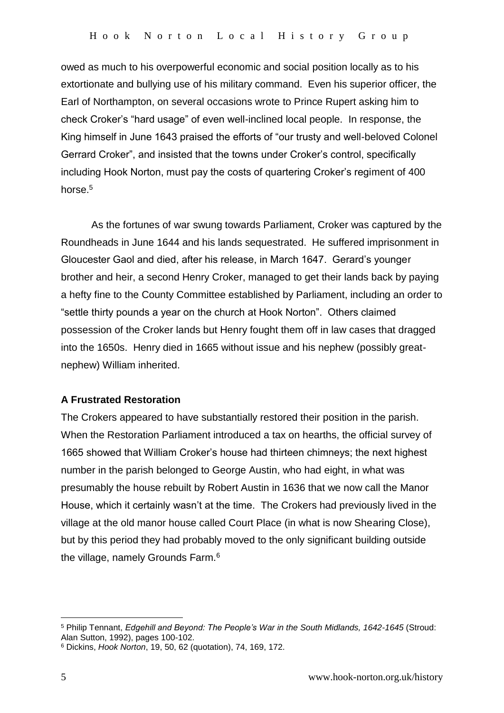owed as much to his overpowerful economic and social position locally as to his extortionate and bullying use of his military command. Even his superior officer, the Earl of Northampton, on several occasions wrote to Prince Rupert asking him to check Croker's "hard usage" of even well-inclined local people. In response, the King himself in June 1643 praised the efforts of "our trusty and well-beloved Colonel Gerrard Croker", and insisted that the towns under Croker's control, specifically including Hook Norton, must pay the costs of quartering Croker's regiment of 400 horse.<sup>5</sup>

As the fortunes of war swung towards Parliament, Croker was captured by the Roundheads in June 1644 and his lands sequestrated. He suffered imprisonment in Gloucester Gaol and died, after his release, in March 1647. Gerard's younger brother and heir, a second Henry Croker, managed to get their lands back by paying a hefty fine to the County Committee established by Parliament, including an order to "settle thirty pounds a year on the church at Hook Norton". Others claimed possession of the Croker lands but Henry fought them off in law cases that dragged into the 1650s. Henry died in 1665 without issue and his nephew (possibly greatnephew) William inherited.

## **A Frustrated Restoration**

The Crokers appeared to have substantially restored their position in the parish. When the Restoration Parliament introduced a tax on hearths, the official survey of 1665 showed that William Croker's house had thirteen chimneys; the next highest number in the parish belonged to George Austin, who had eight, in what was presumably the house rebuilt by Robert Austin in 1636 that we now call the Manor House, which it certainly wasn't at the time. The Crokers had previously lived in the village at the old manor house called Court Place (in what is now Shearing Close), but by this period they had probably moved to the only significant building outside the village, namely Grounds Farm.<sup>6</sup>

<u>.</u>

<sup>5</sup> Philip Tennant, *Edgehill and Beyond: The People's War in the South Midlands, 1642-1645* (Stroud: Alan Sutton, 1992), pages 100-102.

<sup>6</sup> Dickins, *Hook Norton*, 19, 50, 62 (quotation), 74, 169, 172.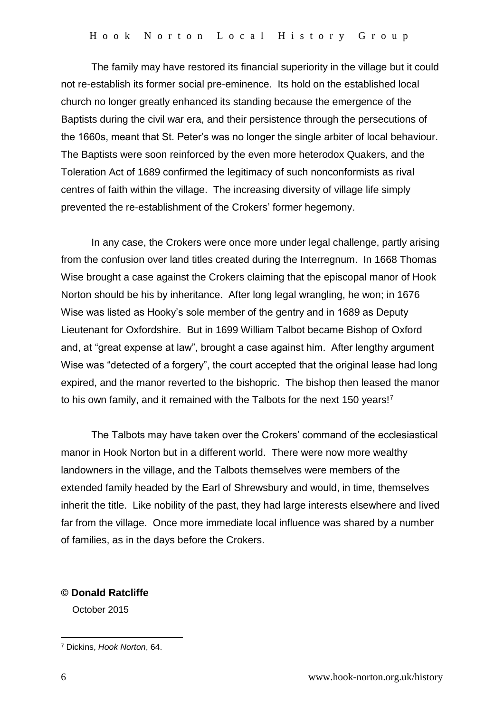The family may have restored its financial superiority in the village but it could not re-establish its former social pre-eminence. Its hold on the established local church no longer greatly enhanced its standing because the emergence of the Baptists during the civil war era, and their persistence through the persecutions of the 1660s, meant that St. Peter's was no longer the single arbiter of local behaviour. The Baptists were soon reinforced by the even more heterodox Quakers, and the Toleration Act of 1689 confirmed the legitimacy of such nonconformists as rival centres of faith within the village. The increasing diversity of village life simply prevented the re-establishment of the Crokers' former hegemony.

In any case, the Crokers were once more under legal challenge, partly arising from the confusion over land titles created during the Interregnum. In 1668 Thomas Wise brought a case against the Crokers claiming that the episcopal manor of Hook Norton should be his by inheritance. After long legal wrangling, he won; in 1676 Wise was listed as Hooky's sole member of the gentry and in 1689 as Deputy Lieutenant for Oxfordshire. But in 1699 William Talbot became Bishop of Oxford and, at "great expense at law", brought a case against him. After lengthy argument Wise was "detected of a forgery", the court accepted that the original lease had long expired, and the manor reverted to the bishopric. The bishop then leased the manor to his own family, and it remained with the Talbots for the next 150 years!<sup>7</sup>

The Talbots may have taken over the Crokers' command of the ecclesiastical manor in Hook Norton but in a different world. There were now more wealthy landowners in the village, and the Talbots themselves were members of the extended family headed by the Earl of Shrewsbury and would, in time, themselves inherit the title. Like nobility of the past, they had large interests elsewhere and lived far from the village. Once more immediate local influence was shared by a number of families, as in the days before the Crokers.

## **© Donald Ratcliffe**

October 2015

1

<sup>7</sup> Dickins, *Hook Norton*, 64.